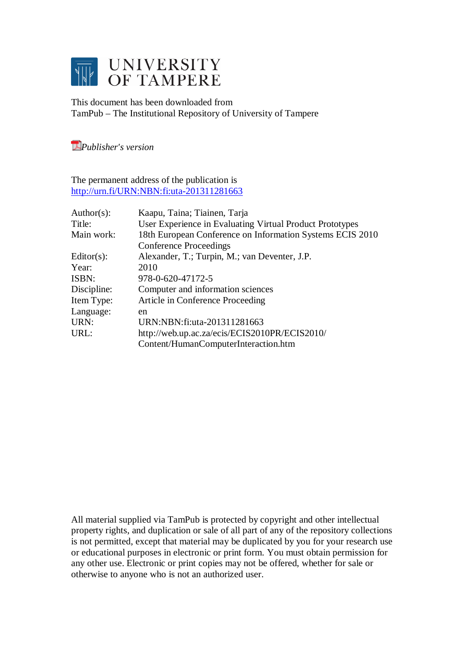

This document has been downloaded from TamPub – The Institutional Repository of University of Tampere

*[P](http://tampub.uta.fi/english/haekokoversio.php?id=1007)ublisher's version* 

The permanent address of the publication is <http://urn.fi/URN:NBN:fi:uta-201311281663>

| Author(s):    | Kaapu, Taina; Tiainen, Tarja                              |
|---------------|-----------------------------------------------------------|
| Title:        | User Experience in Evaluating Virtual Product Prototypes  |
| Main work:    | 18th European Conference on Information Systems ECIS 2010 |
|               | <b>Conference Proceedings</b>                             |
| $Editor(s)$ : | Alexander, T.; Turpin, M.; van Deventer, J.P.             |
| Year:         | 2010                                                      |
| ISBN:         | 978-0-620-47172-5                                         |
| Discipline:   | Computer and information sciences                         |
| Item Type:    | Article in Conference Proceeding                          |
| Language:     | en                                                        |
| URN:          | URN:NBN:fi:uta-201311281663                               |
| URL:          | http://web.up.ac.za/ecis/ECIS2010PR/ECIS2010/             |
|               | Content/HumanComputerInteraction.htm                      |

All material supplied via TamPub is protected by copyright and other intellectual property rights, and duplication or sale of all part of any of the repository collections is not permitted, except that material may be duplicated by you for your research use or educational purposes in electronic or print form. You must obtain permission for any other use. Electronic or print copies may not be offered, whether for sale or otherwise to anyone who is not an authorized user.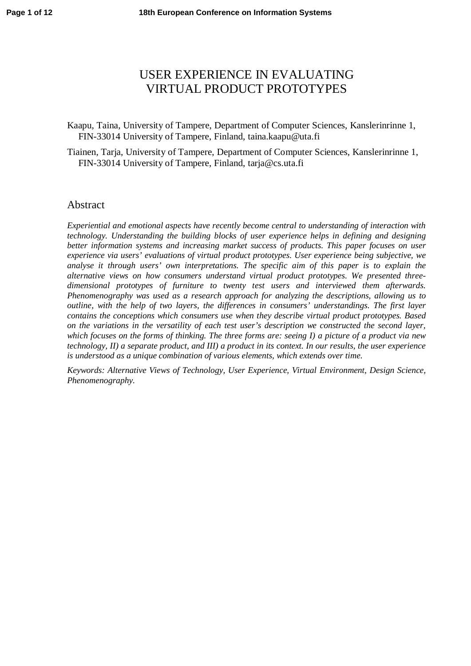# USER EXPERIENCE IN EVALUATING VIRTUAL PRODUCT PROTOTYPES

Kaapu, Taina, University of Tampere, Department of Computer Sciences, Kanslerinrinne 1, FIN-33014 University of Tampere, Finland, [taina.kaapu@uta.fi](mailto:taina.kaapu@uta.fi)

Tiainen, Tarja, University of Tampere, Department of Computer Sciences, Kanslerinrinne 1, FIN-33014 University of Tampere, Finland, [tarja@cs.uta.fi](mailto:tarja@cs.uta.fi)

### **Abstract**

*Experiential and emotional aspects have recently become central to understanding of interaction with technology. Understanding the building blocks of user experience helps in defining and designing better information systems and increasing market success of products. This paper focuses on user experience via users' evaluations of virtual product prototypes. User experience being subjective, we analyse it through users' own interpretations. The specific aim of this paper is to explain the alternative views on how consumers understand virtual product prototypes. We presented threedimensional prototypes of furniture to twenty test users and interviewed them afterwards. Phenomenography was used as a research approach for analyzing the descriptions, allowing us to outline, with the help of two layers, the differences in consumers' understandings. The first layer contains the conceptions which consumers use when they describe virtual product prototypes. Based on the variations in the versatility of each test user's description we constructed the second layer, which focuses on the forms of thinking. The three forms are: seeing I) a picture of a product via new technology, II) a separate product, and III) a product in its context. In our results, the user experience is understood as a unique combination of various elements, which extends over time.*

*Keywords: Alternative Views of Technology, User Experience, Virtual Environment, Design Science, Phenomenography.*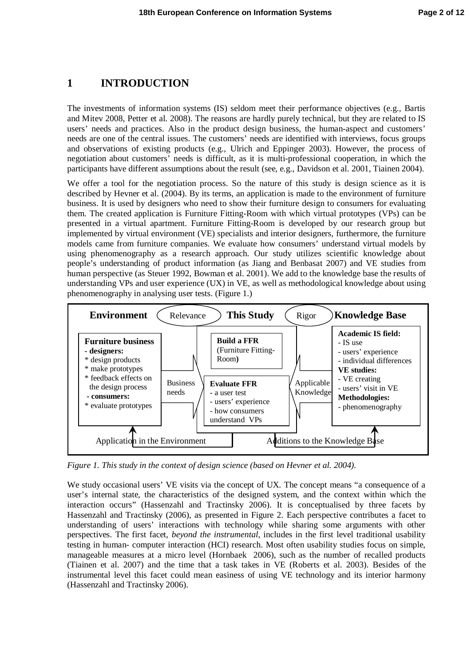## **1 INTRODUCTION**

The investments of information systems (IS) seldom meet their performance objectives (e.g., Bartis and Mitev 2008, Petter et al. 2008). The reasons are hardly purely technical, but they are related to IS users' needs and practices. Also in the product design business, the human-aspect and customers' needs are one of the central issues. The customers' needs are identified with interviews, focus groups and observations of existing products (e.g., Ulrich and Eppinger 2003). However, the process of negotiation about customers' needs is difficult, as it is multi-professional cooperation, in which the participants have different assumptions about the result (see, e.g., Davidson et al. 2001, Tiainen 2004).

We offer a tool for the negotiation process. So the nature of this study is design science as it is described by Hevner et al. (2004). By its terms, an application is made to the environment of furniture business. It is used by designers who need to show their furniture design to consumers for evaluating them. The created application is Furniture Fitting-Room with which virtual prototypes (VPs) can be presented in a virtual apartment. Furniture Fitting-Room is developed by our research group but implemented by virtual environment (VE) specialists and interior designers, furthermore, the furniture models came from furniture companies. We evaluate how consumers' understand virtual models by using phenomenography as a research approach. Our study utilizes scientific knowledge about people's understanding of product information (as Jiang and Benbasat 2007) and VE studies from human perspective (as Steuer 1992, Bowman et al. 2001). We add to the knowledge base the results of understanding VPs and user experience (UX) in VE, as well as methodological knowledge about using phenomenography in analysing user tests. (Figure 1.)



*Figure 1. This study in the context of design science (based on Hevner et al. 2004).*

We study occasional users' VE visits via the concept of UX. The concept means "a consequence of a user's internal state, the characteristics of the designed system, and the context within which the interaction occurs" (Hassenzahl and Tractinsky 2006). It is conceptualised by three facets by Hassenzahl and Tractinsky (2006), as presented in Figure 2. Each perspective contributes a facet to understanding of users' interactions with technology while sharing some arguments with other perspectives. The first facet, *beyond the instrumental*, includes in the first level traditional usability testing in human- computer interaction (HCI) research. Most often usability studies focus on simple, manageable measures at a micro level (Hornbaek 2006), such as the number of recalled products (Tiainen et al. 2007) and the time that a task takes in VE (Roberts et al. 2003). Besides of the instrumental level this facet could mean easiness of using VE technology and its interior harmony (Hassenzahl and Tractinsky 2006).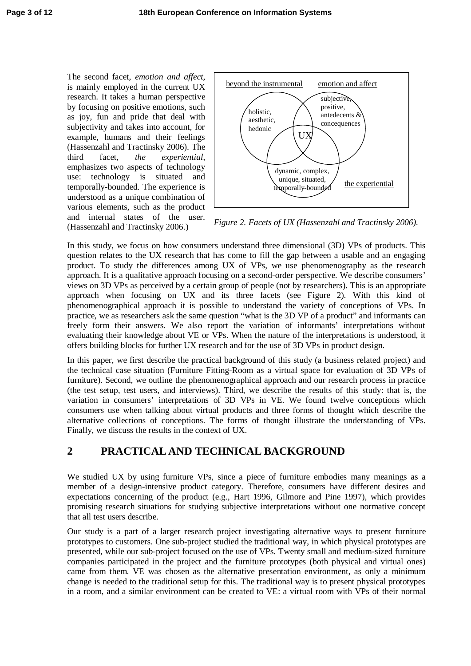The second facet, *emotion and affect*, is mainly employed in the current UX research. It takes a human perspective by focusing on positive emotions, such as joy, fun and pride that deal with subjectivity and takes into account, for example, humans and their feelings (Hassenzahl and Tractinsky 2006). The third facet, *the experiential*, emphasizes two aspects of technology use: technology is situated and temporally-bounded. The experience is understood as a unique combination of various elements, such as the product and internal states of the user. (Hassenzahl and Tractinsky 2006.) *Figure 2. Facets of UX (Hassenzahl and Tractinsky 2006).*



In this study, we focus on how consumers understand three dimensional (3D) VPs of products. This question relates to the UX research that has come to fill the gap between a usable and an engaging product. To study the differences among UX of VPs, we use phenomenography as the research approach. It is a qualitative approach focusing on a second-order perspective. We describe consumers' views on 3D VPs as perceived by a certain group of people (not by researchers). This is an appropriate approach when focusing on UX and its three facets (see Figure 2). With this kind of phenomenographical approach it is possible to understand the variety of conceptions of VPs. In practice, we as researchers ask the same question "what is the 3D VP of a product" and informants can freely form their answers. We also report the variation of informants' interpretations without evaluating their knowledge about VE or VPs. When the nature of the interpretations is understood, it offers building blocks for further UX research and for the use of 3D VPs in product design.

In this paper, we first describe the practical background of this study (a business related project) and the technical case situation (Furniture Fitting-Room as a virtual space for evaluation of 3D VPs of furniture). Second, we outline the phenomenographical approach and our research process in practice (the test setup, test users, and interviews). Third, we describe the results of this study: that is, the variation in consumers' interpretations of 3D VPs in VE. We found twelve conceptions which consumers use when talking about virtual products and three forms of thought which describe the alternative collections of conceptions. The forms of thought illustrate the understanding of VPs. Finally, we discuss the results in the context of UX.

# **2 PRACTICAL AND TECHNICAL BACKGROUND**

We studied UX by using furniture VPs, since a piece of furniture embodies many meanings as a member of a design-intensive product category. Therefore, consumers have different desires and expectations concerning of the product (e.g., Hart 1996, Gilmore and Pine 1997), which provides promising research situations for studying subjective interpretations without one normative concept that all test users describe.

Our study is a part of a larger research project investigating alternative ways to present furniture prototypes to customers. One sub-project studied the traditional way, in which physical prototypes are presented, while our sub-project focused on the use of VPs. Twenty small and medium-sized furniture companies participated in the project and the furniture prototypes (both physical and virtual ones) came from them. VE was chosen as the alternative presentation environment, as only a minimum change is needed to the traditional setup for this. The traditional way is to present physical prototypes in a room, and a similar environment can be created to VE: a virtual room with VPs of their normal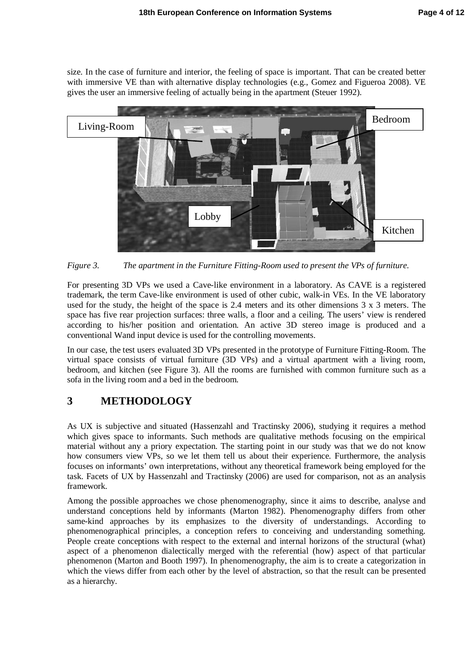size. In the case of furniture and interior, the feeling of space is important. That can be created better with immersive VE than with alternative display technologies (e.g., Gomez and Figueroa 2008). VE gives the user an immersive feeling of actually being in the apartment (Steuer 1992).



*Figure 3. The apartment in the Furniture Fitting-Room used to present the VPs of furniture.*

For presenting 3D VPs we used a Cave-like environment in a laboratory. As CAVE is a registered trademark, the term Cave-like environment is used of other cubic, walk-in VEs. In the VE laboratory used for the study, the height of the space is 2.4 meters and its other dimensions 3 x 3 meters. The space has five rear projection surfaces: three walls, a floor and a ceiling. The users' view is rendered according to his/her position and orientation. An active 3D stereo image is produced and a conventional Wand input device is used for the controlling movements.

In our case, the test users evaluated 3D VPs presented in the prototype of Furniture Fitting-Room. The virtual space consists of virtual furniture (3D VPs) and a virtual apartment with a living room, bedroom, and kitchen (see Figure 3). All the rooms are furnished with common furniture such as a sofa in the living room and a bed in the bedroom.

# **3 METHODOLOGY**

As UX is subjective and situated (Hassenzahl and Tractinsky 2006), studying it requires a method which gives space to informants. Such methods are qualitative methods focusing on the empirical material without any a priory expectation. The starting point in our study was that we do not know how consumers view VPs, so we let them tell us about their experience. Furthermore, the analysis focuses on informants' own interpretations, without any theoretical framework being employed for the task. Facets of UX by Hassenzahl and Tractinsky (2006) are used for comparison, not as an analysis framework.

Among the possible approaches we chose phenomenography, since it aims to describe, analyse and understand conceptions held by informants (Marton 1982). Phenomenography differs from other same-kind approaches by its emphasizes to the diversity of understandings. According to phenomenographical principles, a conception refers to conceiving and understanding something. People create conceptions with respect to the external and internal horizons of the structural (what) aspect of a phenomenon dialectically merged with the referential (how) aspect of that particular phenomenon (Marton and Booth 1997). In phenomenography, the aim is to create a categorization in which the views differ from each other by the level of abstraction, so that the result can be presented as a hierarchy.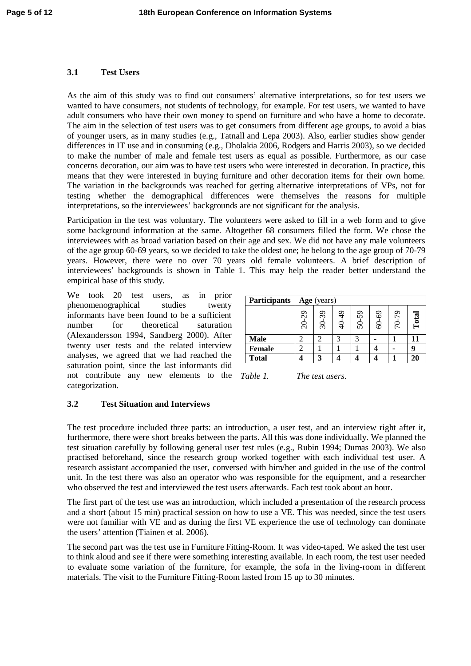### **3.1 Test Users**

As the aim of this study was to find out consumers' alternative interpretations, so for test users we wanted to have consumers, not students of technology, for example. For test users, we wanted to have adult consumers who have their own money to spend on furniture and who have a home to decorate. The aim in the selection of test users was to get consumers from different age groups, to avoid a bias of younger users, as in many studies (e.g., Tatnall and Lepa 2003). Also, earlier studies show gender differences in IT use and in consuming (e.g., Dholakia 2006, Rodgers and Harris 2003), so we decided to make the number of male and female test users as equal as possible. Furthermore, as our case concerns decoration, our aim was to have test users who were interested in decoration. In practice, this means that they were interested in buying furniture and other decoration items for their own home. The variation in the backgrounds was reached for getting alternative interpretations of VPs, not for testing whether the demographical differences were themselves the reasons for multiple interpretations, so the interviewees' backgrounds are not significant for the analysis.

Participation in the test was voluntary. The volunteers were asked to fill in a web form and to give some background information at the same. Altogether 68 consumers filled the form. We chose the interviewees with as broad variation based on their age and sex. We did not have any male volunteers of the age group 60-69 years, so we decided to take the oldest one; he belong to the age group of 70-79 years. However, there were no over 70 years old female volunteers. A brief description of interviewees' backgrounds is shown in Table 1. This may help the reader better understand the empirical base of this study.

We took 20 test users, as in prior phenomenographical studies twenty informants have been found to be a sufficient number for theoretical saturation (Alexandersson 1994, Sandberg 2000). After twenty user tests and the related interview analyses, we agreed that we had reached the saturation point, since the last informants did not contribute any new elements to the Table 1. categorization.

| <b>Participants</b> | Age (years) |       |       |       |       |             |       |  |  |  |  |  |
|---------------------|-------------|-------|-------|-------|-------|-------------|-------|--|--|--|--|--|
|                     | 20-29       | 30-39 | 40-49 | 50-59 | 60-69 | 57<br>$70-$ | Total |  |  |  |  |  |
| <b>Male</b>         |             |       | 3     | 3     |       |             | 11    |  |  |  |  |  |
| <b>Female</b>       |             |       |       |       |       |             |       |  |  |  |  |  |
| <b>Total</b>        |             | 3     |       |       |       |             | 20    |  |  |  |  |  |

*The test users.* 

### **3.2 Test Situation and Interviews**

The test procedure included three parts: an introduction, a user test, and an interview right after it, furthermore, there were short breaks between the parts. All this was done individually. We planned the test situation carefully by following general user test rules (e.g., Rubin 1994; Dumas 2003). We also practised beforehand, since the research group worked together with each individual test user. A research assistant accompanied the user, conversed with him/her and guided in the use of the control unit. In the test there was also an operator who was responsible for the equipment, and a researcher who observed the test and interviewed the test users afterwards. Each test took about an hour.

The first part of the test use was an introduction, which included a presentation of the research process and a short (about 15 min) practical session on how to use a VE. This was needed, since the test users were not familiar with VE and as during the first VE experience the use of technology can dominate the users' attention (Tiainen et al. 2006).

The second part was the test use in Furniture Fitting-Room. It was video-taped. We asked the test user to think aloud and see if there were something interesting available. In each room, the test user needed to evaluate some variation of the furniture, for example, the sofa in the living-room in different materials. The visit to the Furniture Fitting-Room lasted from 15 up to 30 minutes.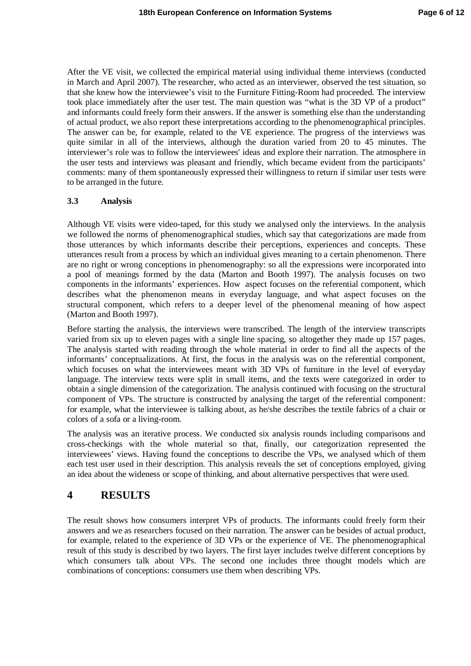After the VE visit, we collected the empirical material using individual theme interviews (conducted in March and April 2007). The researcher, who acted as an interviewer, observed the test situation, so that she knew how the interviewee's visit to the Furniture Fitting-Room had proceeded. The interview took place immediately after the user test. The main question was "what is the 3D VP of a product" and informants could freely form their answers. If the answer is something else than the understanding of actual product, we also report these interpretations according to the phenomenographical principles. The answer can be, for example, related to the VE experience. The progress of the interviews was quite similar in all of the interviews, although the duration varied from 20 to 45 minutes. The interviewer's role was to follow the interviewees' ideas and explore their narration. The atmosphere in the user tests and interviews was pleasant and friendly, which became evident from the participants' comments: many of them spontaneously expressed their willingness to return if similar user tests were to be arranged in the future.

#### **3.3 Analysis**

Although VE visits were video-taped, for this study we analysed only the interviews. In the analysis we followed the norms of phenomenographical studies, which say that categorizations are made from those utterances by which informants describe their perceptions, experiences and concepts. These utterances result from a process by which an individual gives meaning to a certain phenomenon. There are no right or wrong conceptions in phenomenography: so all the expressions were incorporated into a pool of meanings formed by the data (Marton and Booth 1997). The analysis focuses on two components in the informants' experiences. How aspect focuses on the referential component, which describes what the phenomenon means in everyday language, and what aspect focuses on the structural component, which refers to a deeper level of the phenomenal meaning of how aspect (Marton and Booth 1997).

Before starting the analysis, the interviews were transcribed. The length of the interview transcripts varied from six up to eleven pages with a single line spacing, so altogether they made up 157 pages. The analysis started with reading through the whole material in order to find all the aspects of the informants' conceptualizations. At first, the focus in the analysis was on the referential component, which focuses on what the interviewees meant with 3D VPs of furniture in the level of everyday language. The interview texts were split in small items, and the texts were categorized in order to obtain a single dimension of the categorization. The analysis continued with focusing on the structural component of VPs. The structure is constructed by analysing the target of the referential component: for example, what the interviewee is talking about, as he/she describes the textile fabrics of a chair or colors of a sofa or a living-room.

The analysis was an iterative process. We conducted six analysis rounds including comparisons and cross-checkings with the whole material so that, finally, our categorization represented the interviewees' views. Having found the conceptions to describe the VPs, we analysed which of them each test user used in their description. This analysis reveals the set of conceptions employed, giving an idea about the wideness or scope of thinking, and about alternative perspectives that were used.

## **4 RESULTS**

The result shows how consumers interpret VPs of products. The informants could freely form their answers and we as researchers focused on their narration. The answer can be besides of actual product, for example, related to the experience of 3D VPs or the experience of VE. The phenomenographical result of this study is described by two layers. The first layer includes twelve different conceptions by which consumers talk about VPs. The second one includes three thought models which are combinations of conceptions: consumers use them when describing VPs.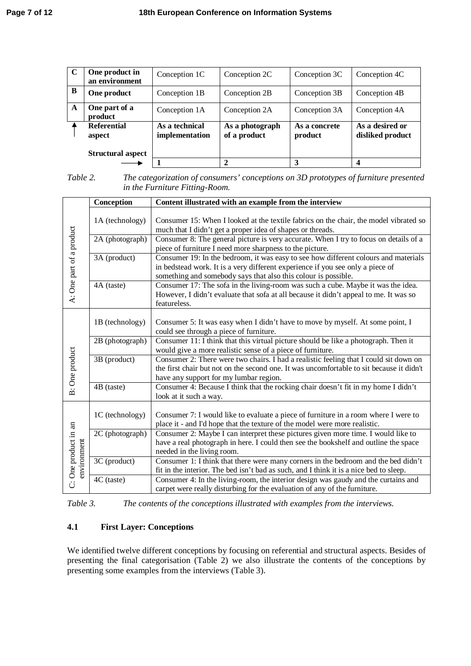| C | One product in<br>an environment | Conception 1C                    | Conception 2C                   | Conception 3C            | Conception 4C                       |
|---|----------------------------------|----------------------------------|---------------------------------|--------------------------|-------------------------------------|
| B | One product                      | Conception 1B                    | Conception 2B                   | Conception 3B            | Conception 4B                       |
| A | One part of a<br>product         | Conception 1A                    | Conception 2A                   | Conception 3A            | Conception 4A                       |
|   | <b>Referential</b><br>aspect     | As a technical<br>implementation | As a photograph<br>of a product | As a concrete<br>product | As a desired or<br>disliked product |
|   | <b>Structural aspect</b>         |                                  |                                 | 3                        |                                     |

*Table 2. The categorization of consumers' conceptions on 3D prototypes of furniture presented in the Furniture Fitting-Room.*

|                          | Conception                                                                                                                                                           | Content illustrated with an example from the interview                                                                                                                                                                                  |  |  |  |  |  |  |  |  |
|--------------------------|----------------------------------------------------------------------------------------------------------------------------------------------------------------------|-----------------------------------------------------------------------------------------------------------------------------------------------------------------------------------------------------------------------------------------|--|--|--|--|--|--|--|--|
|                          | 1A (technology)                                                                                                                                                      | Consumer 15: When I looked at the textile fabrics on the chair, the model vibrated so<br>much that I didn't get a proper idea of shapes or threads.                                                                                     |  |  |  |  |  |  |  |  |
|                          | 2A (photograph)                                                                                                                                                      | Consumer 8: The general picture is very accurate. When I try to focus on details of a<br>piece of furniture I need more sharpness to the picture.                                                                                       |  |  |  |  |  |  |  |  |
| A: One part of a product | 3A (product)                                                                                                                                                         | Consumer 19: In the bedroom, it was easy to see how different colours and materials<br>in bedstead work. It is a very different experience if you see only a piece of<br>something and somebody says that also this colour is possible. |  |  |  |  |  |  |  |  |
|                          | 4A (taste)                                                                                                                                                           | Consumer 17: The sofa in the living-room was such a cube. Maybe it was the idea.<br>However, I didn't evaluate that sofa at all because it didn't appeal to me. It was so<br>featureless.                                               |  |  |  |  |  |  |  |  |
|                          | 1B (technology)                                                                                                                                                      | Consumer 5: It was easy when I didn't have to move by myself. At some point, I<br>could see through a piece of furniture.                                                                                                               |  |  |  |  |  |  |  |  |
|                          | Consumer 11: I think that this virtual picture should be like a photograph. Then it<br>2B (photograph)<br>would give a more realistic sense of a piece of furniture. |                                                                                                                                                                                                                                         |  |  |  |  |  |  |  |  |
| <b>B</b> : One product   | 3B (product)                                                                                                                                                         | Consumer 2: There were two chairs. I had a realistic feeling that I could sit down on<br>the first chair but not on the second one. It was uncomfortable to sit because it didn't<br>have any support for my lumbar region.             |  |  |  |  |  |  |  |  |
|                          | 4B (taste)                                                                                                                                                           | Consumer 4: Because I think that the rocking chair doesn't fit in my home I didn't<br>look at it such a way.                                                                                                                            |  |  |  |  |  |  |  |  |
|                          | 1C (technology)                                                                                                                                                      | Consumer 7: I would like to evaluate a piece of furniture in a room where I were to<br>place it - and I'd hope that the texture of the model were more realistic.                                                                       |  |  |  |  |  |  |  |  |
| C: One product in an     | 2C (photograph)                                                                                                                                                      | Consumer 2: Maybe I can interpret these pictures given more time. I would like to<br>have a real photograph in here. I could then see the bookshelf and outline the space<br>needed in the living room.                                 |  |  |  |  |  |  |  |  |
| environment              | 3C (product)                                                                                                                                                         | Consumer 1: I think that there were many corners in the bedroom and the bed didn't<br>fit in the interior. The bed isn't bad as such, and I think it is a nice bed to sleep.                                                            |  |  |  |  |  |  |  |  |
|                          | 4C (taste)                                                                                                                                                           | Consumer 4: In the living-room, the interior design was gaudy and the curtains and<br>carpet were really disturbing for the evaluation of any of the furniture.                                                                         |  |  |  |  |  |  |  |  |

*Table 3. The contents of the conceptions illustrated with examples from the interviews.*

### **4.1 First Layer: Conceptions**

We identified twelve different conceptions by focusing on referential and structural aspects. Besides of presenting the final categorisation (Table 2) we also illustrate the contents of the conceptions by presenting some examples from the interviews (Table 3).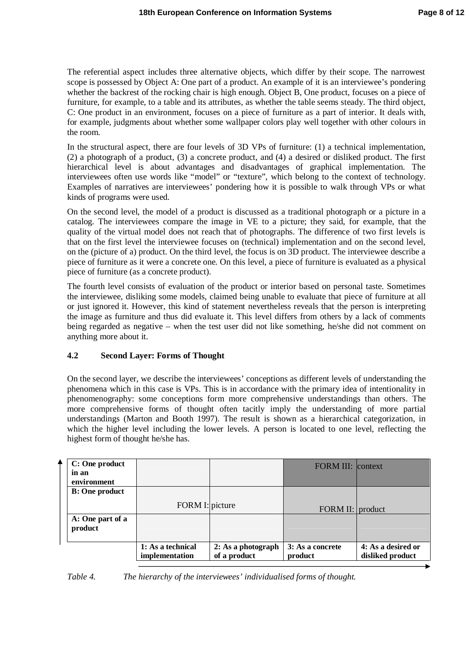The referential aspect includes three alternative objects, which differ by their scope. The narrowest scope is possessed by Object A: One part of a product. An example of it is an interviewee's pondering whether the backrest of the rocking chair is high enough. Object B, One product, focuses on a piece of furniture, for example, to a table and its attributes, as whether the table seems steady. The third object, C: One product in an environment, focuses on a piece of furniture as a part of interior. It deals with, for example, judgments about whether some wallpaper colors play well together with other colours in the room.

In the structural aspect, there are four levels of 3D VPs of furniture: (1) a technical implementation, (2) a photograph of a product, (3) a concrete product, and (4) a desired or disliked product. The first hierarchical level is about advantages and disadvantages of graphical implementation. The interviewees often use words like "model" or "texture", which belong to the context of technology. Examples of narratives are interviewees' pondering how it is possible to walk through VPs or what kinds of programs were used.

On the second level, the model of a product is discussed as a traditional photograph or a picture in a catalog. The interviewees compare the image in VE to a picture; they said, for example, that the quality of the virtual model does not reach that of photographs. The difference of two first levels is that on the first level the interviewee focuses on (technical) implementation and on the second level, on the (picture of a) product. On the third level, the focus is on 3D product. The interviewee describe a piece of furniture as it were a concrete one. On this level, a piece of furniture is evaluated as a physical piece of furniture (as a concrete product).

The fourth level consists of evaluation of the product or interior based on personal taste. Sometimes the interviewee, disliking some models, claimed being unable to evaluate that piece of furniture at all or just ignored it. However, this kind of statement nevertheless reveals that the person is interpreting the image as furniture and thus did evaluate it. This level differs from others by a lack of comments being regarded as negative – when the test user did not like something, he/she did not comment on anything more about it.

### **4.2 Second Layer: Forms of Thought**

On the second layer, we describe the interviewees' conceptions as different levels of understanding the phenomena which in this case is VPs. This is in accordance with the primary idea of intentionality in phenomenography: some conceptions form more comprehensive understandings than others. The more comprehensive forms of thought often tacitly imply the understanding of more partial understandings (Marton and Booth 1997). The result is shown as a hierarchical categorization, in which the higher level including the lower levels. A person is located to one level, reflecting the highest form of thought he/she has.

| C: One product<br>in an<br>environment |                                     |                                    | <b>FORM III: context</b>    |                                        |
|----------------------------------------|-------------------------------------|------------------------------------|-----------------------------|----------------------------------------|
| <b>B:</b> One product                  | FORM I: picture                     |                                    | FORM II: product            |                                        |
| A: One part of a<br>product            |                                     |                                    |                             |                                        |
|                                        | 1: As a technical<br>implementation | 2: As a photograph<br>of a product | 3: As a concrete<br>product | 4: As a desired or<br>disliked product |

*Table 4. The hierarchy of the interviewees' individualised forms of thought.*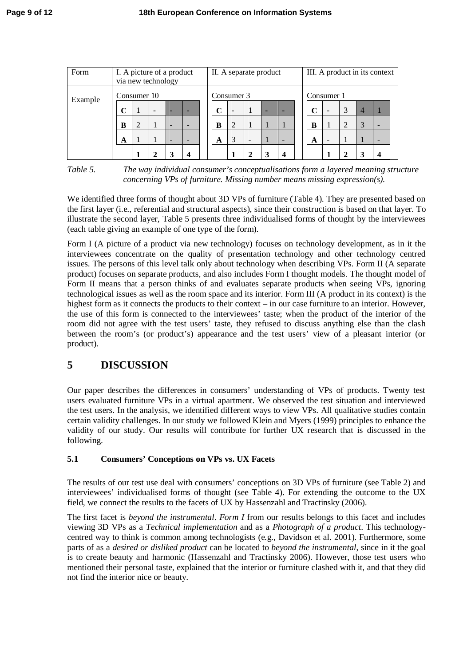| Form    | I. A picture of a product<br>via new technology |                |  |                          | II. A separate product   |  |   |                          | III. A product in its context |            |  |             |   |   |  |                          |  |
|---------|-------------------------------------------------|----------------|--|--------------------------|--------------------------|--|---|--------------------------|-------------------------------|------------|--|-------------|---|---|--|--------------------------|--|
| Example | Consumer 10                                     |                |  |                          | Consumer 3               |  |   |                          |                               | Consumer 1 |  |             |   |   |  |                          |  |
|         | ◠                                               |                |  |                          | -                        |  | C | $\overline{\phantom{0}}$ |                               |            |  | $\mathbf C$ | - | 3 |  |                          |  |
|         | B                                               | $\overline{2}$ |  | $\overline{\phantom{0}}$ | $\overline{\phantom{0}}$ |  | B | $\overline{2}$           |                               |            |  | B           |   |   |  |                          |  |
|         | A                                               |                |  | $\overline{\phantom{0}}$ | $\overline{\phantom{0}}$ |  | A | 3                        | $\overline{\phantom{0}}$      |            |  | A           |   |   |  | $\overline{\phantom{0}}$ |  |
|         |                                                 |                |  |                          | 4                        |  |   |                          |                               |            |  |             |   |   |  | 4                        |  |

*Table 5. The way individual consumer's conceptualisations form a layered meaning structure concerning VPs of furniture. Missing number means missing expression(s).*

We identified three forms of thought about 3D VPs of furniture (Table 4). They are presented based on the first layer (i.e., referential and structural aspects), since their construction is based on that layer. To illustrate the second layer, Table 5 presents three individualised forms of thought by the interviewees (each table giving an example of one type of the form).

Form I (A picture of a product via new technology) focuses on technology development, as in it the interviewees concentrate on the quality of presentation technology and other technology centred issues. The persons of this level talk only about technology when describing VPs. Form II (A separate product) focuses on separate products, and also includes Form I thought models. The thought model of Form II means that a person thinks of and evaluates separate products when seeing VPs, ignoring technological issues as well as the room space and its interior. Form III (A product in its context) is the highest form as it connects the products to their context – in our case furniture to an interior. However, the use of this form is connected to the interviewees' taste; when the product of the interior of the room did not agree with the test users' taste, they refused to discuss anything else than the clash between the room's (or product's) appearance and the test users' view of a pleasant interior (or product).

# **5 DISCUSSION**

Our paper describes the differences in consumers' understanding of VPs of products. Twenty test users evaluated furniture VPs in a virtual apartment. We observed the test situation and interviewed the test users. In the analysis, we identified different ways to view VPs. All qualitative studies contain certain validity challenges. In our study we followed Klein and Myers (1999) principles to enhance the validity of our study. Our results will contribute for further UX research that is discussed in the following.

## **5.1 Consumers' Conceptions on VPs vs. UX Facets**

The results of our test use deal with consumers' conceptions on 3D VPs of furniture (see Table 2) and interviewees' individualised forms of thought (see Table 4). For extending the outcome to the UX field, we connect the results to the facets of UX by Hassenzahl and Tractinsky (2006).

The first facet is *beyond the instrumental*. *Form I* from our results belongs to this facet and includes viewing 3D VPs as a *Technical implementation* and as a *Photograph of a product*. This technologycentred way to think is common among technologists (e.g., Davidson et al. 2001). Furthermore, some parts of as a *desired or disliked product* can be located to *beyond the instrumental*, since in it the goal is to create beauty and harmonic (Hassenzahl and Tractinsky 2006). However, those test users who mentioned their personal taste, explained that the interior or furniture clashed with it, and that they did not find the interior nice or beauty.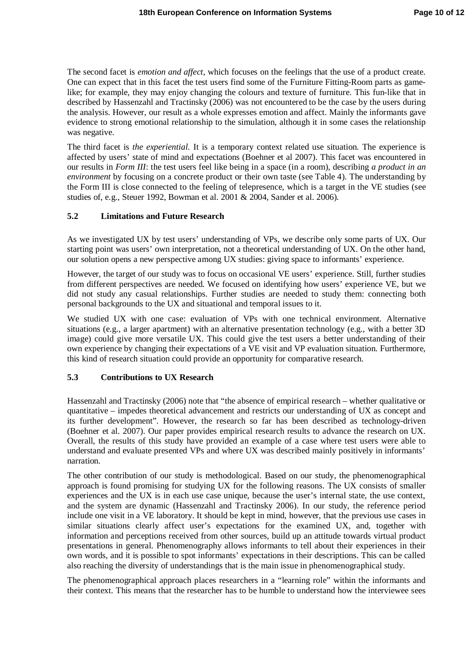The second facet is *emotion and affect*, which focuses on the feelings that the use of a product create. One can expect that in this facet the test users find some of the Furniture Fitting-Room parts as gamelike; for example, they may enjoy changing the colours and texture of furniture. This fun-like that in described by Hassenzahl and Tractinsky (2006) was not encountered to be the case by the users during the analysis. However, our result as a whole expresses emotion and affect. Mainly the informants gave evidence to strong emotional relationship to the simulation, although it in some cases the relationship was negative.

The third facet is *the experiential.* It is a temporary context related use situation. The experience is affected by users' state of mind and expectations (Boehner et al 2007). This facet was encountered in our results in *Form III*: the test users feel like being in a space (in a room), describing *a product in an environment* by focusing on a concrete product or their own taste (see Table 4). The understanding by the Form III is close connected to the feeling of telepresence, which is a target in the VE studies (see studies of, e.g., Steuer 1992, Bowman et al. 2001 & 2004, Sander et al. 2006).

### **5.2 Limitations and Future Research**

As we investigated UX by test users' understanding of VPs, we describe only some parts of UX. Our starting point was users' own interpretation, not a theoretical understanding of UX. On the other hand, our solution opens a new perspective among UX studies: giving space to informants' experience.

However, the target of our study was to focus on occasional VE users' experience. Still, further studies from different perspectives are needed. We focused on identifying how users' experience VE, but we did not study any casual relationships. Further studies are needed to study them: connecting both personal backgrounds to the UX and situational and temporal issues to it.

We studied UX with one case: evaluation of VPs with one technical environment. Alternative situations (e.g., a larger apartment) with an alternative presentation technology (e.g., with a better 3D image) could give more versatile UX. This could give the test users a better understanding of their own experience by changing their expectations of a VE visit and VP evaluation situation. Furthermore, this kind of research situation could provide an opportunity for comparative research.

### **5.3 Contributions to UX Research**

Hassenzahl and Tractinsky (2006) note that "the absence of empirical research – whether qualitative or quantitative – impedes theoretical advancement and restricts our understanding of UX as concept and its further development". However, the research so far has been described as technology-driven (Boehner et al. 2007). Our paper provides empirical research results to advance the research on UX. Overall, the results of this study have provided an example of a case where test users were able to understand and evaluate presented VPs and where UX was described mainly positively in informants' narration.

The other contribution of our study is methodological. Based on our study, the phenomenographical approach is found promising for studying UX for the following reasons. The UX consists of smaller experiences and the UX is in each use case unique, because the user's internal state, the use context, and the system are dynamic (Hassenzahl and Tractinsky 2006). In our study, the reference period include one visit in a VE laboratory. It should be kept in mind, however, that the previous use cases in similar situations clearly affect user's expectations for the examined UX, and, together with information and perceptions received from other sources, build up an attitude towards virtual product presentations in general. Phenomenography allows informants to tell about their experiences in their own words, and it is possible to spot informants' expectations in their descriptions. This can be called also reaching the diversity of understandings that is the main issue in phenomenographical study.

The phenomenographical approach places researchers in a "learning role" within the informants and their context. This means that the researcher has to be humble to understand how the interviewee sees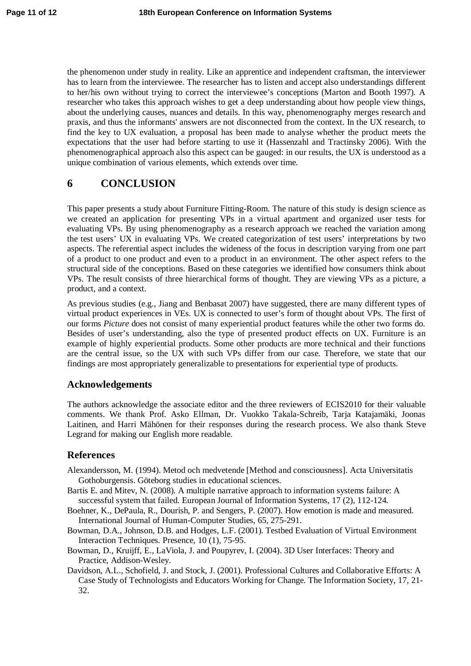the phenomenon under study in reality. Like an apprentice and independent craftsman, the interviewer has to learn from the interviewee. The researcher has to listen and accept also understandings different to her/his own without trying to correct the interviewee's conceptions (Marton and Booth 1997). A researcher who takes this approach wishes to get a deep understanding about how people view things, about the underlying causes, nuances and details. In this way, phenomenography merges research and praxis, and thus the informants' answers are not disconnected from the context. In the UX research, to find the key to UX evaluation, a proposal has been made to analyse whether the product meets the expectations that the user had before starting to use it (Hassenzahl and Tractinsky 2006). With the phenomenographical approach also this aspect can be gauged: in our results, the UX is understood as a unique combination of various elements, which extends over time.

## **6 CONCLUSION**

This paper presents a study about Furniture Fitting-Room. The nature of this study is design science as we created an application for presenting VPs in a virtual apartment and organized user tests for evaluating VPs. By using phenomenography as a research approach we reached the variation among the test users' UX in evaluating VPs. We created categorization of test users' interpretations by two aspects. The referential aspect includes the wideness of the focus in description varying from one part of a product to one product and even to a product in an environment. The other aspect refers to the structural side of the conceptions. Based on these categories we identified how consumers think about VPs. The result consists of three hierarchical forms of thought. They are viewing VPs as a picture, a product, and a context.

As previous studies (e.g., Jiang and Benbasat 2007) have suggested, there are many different types of virtual product experiences in VEs. UX is connected to user's form of thought about VPs. The first of our forms *Picture* does not consist of many experiential product features while the other two forms do. Besides of user's understanding, also the type of presented product effects on UX. Furniture is an example of highly experiential products. Some other products are more technical and their functions are the central issue, so the UX with such VPs differ from our case. Therefore, we state that our findings are most appropriately generalizable to presentations for experiential type of products.

## **Acknowledgements**

The authors acknowledge the associate editor and the three reviewers of ECIS2010 for their valuable comments. We thank Prof. Asko Ellman, Dr. Vuokko Takala-Schreib, Tarja Katajamäki, Joonas Laitinen, and Harri Mähönen for their responses during the research process. We also thank Steve Legrand for making our English more readable.

## **References**

- Alexandersson, M. (1994). Metod och medvetende [Method and consciousness]. Acta Universitatis Gothoburgensis. Göteborg studies in educational sciences.
- Bartis E. and Mitev, N. (2008). A multiple narrative approach to information systems failure: A successful system that failed. European Journal of Information Systems, 17 (2), 112-124.
- Boehner, K., DePaula, R., Dourish, P. and Sengers, P. (2007). How emotion is made and measured. International Journal of Human-Computer Studies, 65, 275-291.
- Bowman, D.A., Johnson, D.B. and Hodges, L.F. (2001). Testbed Evaluation of Virtual Environment Interaction Techniques. Presence, 10 (1), 75-95.
- Bowman, D., Kruijff, E., LaViola, J. and Poupyrev, I. (2004). 3D User Interfaces: Theory and Practice, Addison-Wesley.
- Davidson, A.L., Schofield, J. and Stock, J. (2001). Professional Cultures and Collaborative Efforts: A Case Study of Technologists and Educators Working for Change. The Information Society, 17, 21- 32.